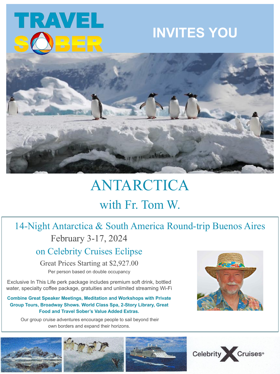

# **INVITES YOU**



# ANTARCTICA with Fr. Tom W.

# 14-Night Antarctica & South America Round-trip Buenos Aires February 3-17, 2024

on Celebrity Cruises Eclipse

Great Prices Starting at \$2,927.00

Per person based on double occupancy

Exclusive In This Life perk package includes premium soft drink, bottled water, specialty coffee package, gratuities and unlimited streaming Wi-Fi

## **Combine Great Speaker Meetings, Meditation and Workshops with Private Group Tours, Broadway Shows. World Class Spa, 2-Story Library, Great Food and Travel Sober's Value Added Extras.**

 Our group cruise adventures encourage people to sail beyond their own borders and expand their horizons.